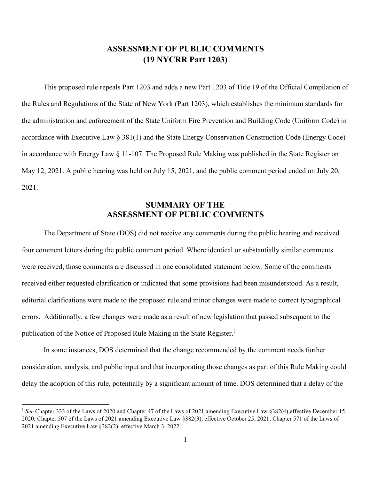## **ASSESSMENT OF PUBLIC COMMENTS (19 NYCRR Part 1203)**

This proposed rule repeals Part 1203 and adds a new Part 1203 of Title 19 of the Official Compilation of the Rules and Regulations of the State of New York (Part 1203), which establishes the minimum standards for the administration and enforcement of the State Uniform Fire Prevention and Building Code (Uniform Code) in accordance with Executive Law § 381(1) and the State Energy Conservation Construction Code (Energy Code) in accordance with Energy Law § 11-107. The Proposed Rule Making was published in the State Register on May 12, 2021. A public hearing was held on July 15, 2021, and the public comment period ended on July 20, 2021.

## **SUMMARY OF THE ASSESSMENT OF PUBLIC COMMENTS**

The Department of State (DOS) did not receive any comments during the public hearing and received four comment letters during the public comment period. Where identical or substantially similar comments were received, those comments are discussed in one consolidated statement below. Some of the comments received either requested clarification or indicated that some provisions had been misunderstood. As a result, editorial clarifications were made to the proposed rule and minor changes were made to correct typographical errors. Additionally, a few changes were made as a result of new legislation that passed subsequent to the publication of the Notice of Proposed Rule Making in the State Register.<sup>[1](#page-0-0)</sup>

In some instances, DOS determined that the change recommended by the comment needs further consideration, analysis, and public input and that incorporating those changes as part of this Rule Making could delay the adoption of this rule, potentially by a significant amount of time. DOS determined that a delay of the

<span id="page-0-0"></span><sup>&</sup>lt;sup>1</sup> See Chapter 333 of the Laws of 2020 and Chapter 47 of the Laws of 2021 amending Executive Law §382(4), effective December 15, 2020; Chapter 507 of the Laws of 2021 amending Executive Law §382(3), effective October 25, 2021; Chapter 571 of the Laws of 2021 amending Executive Law §382(2), effective March 3, 2022.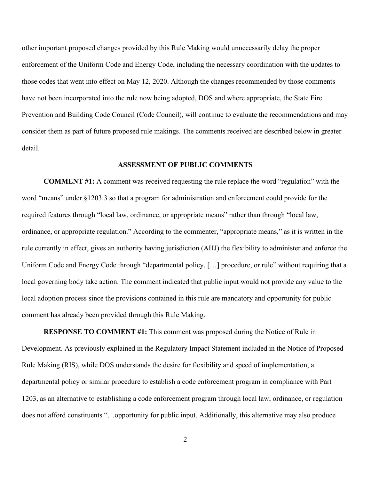other important proposed changes provided by this Rule Making would unnecessarily delay the proper enforcement of the Uniform Code and Energy Code, including the necessary coordination with the updates to those codes that went into effect on May 12, 2020. Although the changes recommended by those comments have not been incorporated into the rule now being adopted, DOS and where appropriate, the State Fire Prevention and Building Code Council (Code Council), will continue to evaluate the recommendations and may consider them as part of future proposed rule makings. The comments received are described below in greater detail.

## **ASSESSMENT OF PUBLIC COMMENTS**

**COMMENT #1:** A comment was received requesting the rule replace the word "regulation" with the word "means" under §1203.3 so that a program for administration and enforcement could provide for the required features through "local law, ordinance, or appropriate means" rather than through "local law, ordinance, or appropriate regulation." According to the commenter, "appropriate means," as it is written in the rule currently in effect, gives an authority having jurisdiction (AHJ) the flexibility to administer and enforce the Uniform Code and Energy Code through "departmental policy, […] procedure, or rule" without requiring that a local governing body take action. The comment indicated that public input would not provide any value to the local adoption process since the provisions contained in this rule are mandatory and opportunity for public comment has already been provided through this Rule Making.

**RESPONSE TO COMMENT #1:** This comment was proposed during the Notice of Rule in Development. As previously explained in the Regulatory Impact Statement included in the Notice of Proposed Rule Making (RIS), while DOS understands the desire for flexibility and speed of implementation, a departmental policy or similar procedure to establish a code enforcement program in compliance with Part 1203, as an alternative to establishing a code enforcement program through local law, ordinance, or regulation does not afford constituents "…opportunity for public input. Additionally, this alternative may also produce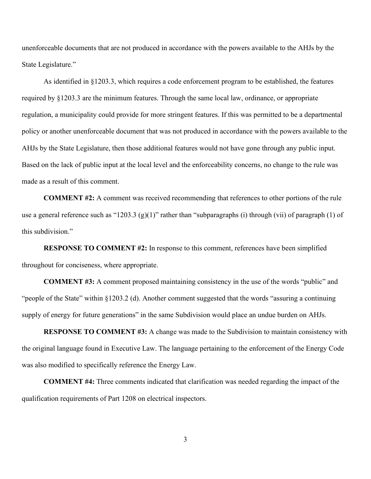unenforceable documents that are not produced in accordance with the powers available to the AHJs by the State Legislature."

As identified in §1203.3, which requires a code enforcement program to be established, the features required by §1203.3 are the minimum features. Through the same local law, ordinance, or appropriate regulation, a municipality could provide for more stringent features. If this was permitted to be a departmental policy or another unenforceable document that was not produced in accordance with the powers available to the AHJs by the State Legislature, then those additional features would not have gone through any public input. Based on the lack of public input at the local level and the enforceability concerns, no change to the rule was made as a result of this comment.

**COMMENT #2:** A comment was received recommending that references to other portions of the rule use a general reference such as "1203.3 (g)(1)" rather than "subparagraphs (i) through (vii) of paragraph (1) of this subdivision."

**RESPONSE TO COMMENT #2:** In response to this comment, references have been simplified throughout for conciseness, where appropriate.

**COMMENT #3:** A comment proposed maintaining consistency in the use of the words "public" and "people of the State" within §1203.2 (d). Another comment suggested that the words "assuring a continuing supply of energy for future generations" in the same Subdivision would place an undue burden on AHJs.

**RESPONSE TO COMMENT #3:** A change was made to the Subdivision to maintain consistency with the original language found in Executive Law. The language pertaining to the enforcement of the Energy Code was also modified to specifically reference the Energy Law.

**COMMENT #4:** Three comments indicated that clarification was needed regarding the impact of the qualification requirements of Part 1208 on electrical inspectors.

3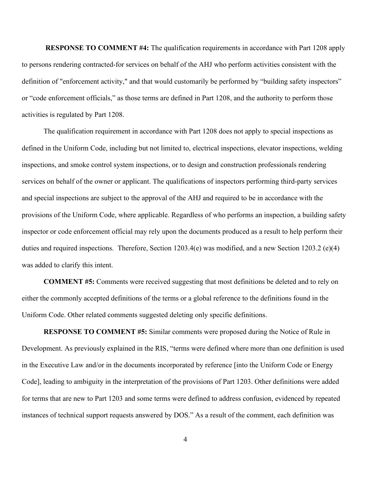**RESPONSE TO COMMENT #4:** The qualification requirements in accordance with Part 1208 apply to persons rendering contracted-for services on behalf of the AHJ who perform activities consistent with the definition of "enforcement activity," and that would customarily be performed by "building safety inspectors" or "code enforcement officials," as those terms are defined in Part 1208, and the authority to perform those activities is regulated by Part 1208.

The qualification requirement in accordance with Part 1208 does not apply to special inspections as defined in the Uniform Code, including but not limited to, electrical inspections, elevator inspections, welding inspections, and smoke control system inspections, or to design and construction professionals rendering services on behalf of the owner or applicant. The qualifications of inspectors performing third-party services and special inspections are subject to the approval of the AHJ and required to be in accordance with the provisions of the Uniform Code, where applicable. Regardless of who performs an inspection, a building safety inspector or code enforcement official may rely upon the documents produced as a result to help perform their duties and required inspections. Therefore, Section 1203.4(e) was modified, and a new Section 1203.2 (e)(4) was added to clarify this intent.

**COMMENT #5:** Comments were received suggesting that most definitions be deleted and to rely on either the commonly accepted definitions of the terms or a global reference to the definitions found in the Uniform Code. Other related comments suggested deleting only specific definitions.

**RESPONSE TO COMMENT #5:** Similar comments were proposed during the Notice of Rule in Development. As previously explained in the RIS, "terms were defined where more than one definition is used in the Executive Law and/or in the documents incorporated by reference [into the Uniform Code or Energy Code], leading to ambiguity in the interpretation of the provisions of Part 1203. Other definitions were added for terms that are new to Part 1203 and some terms were defined to address confusion, evidenced by repeated instances of technical support requests answered by DOS." As a result of the comment, each definition was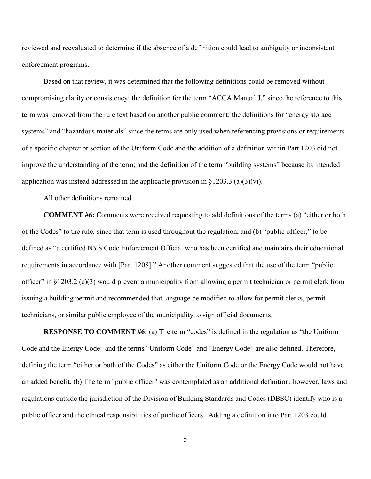reviewed and reevaluated to determine if the absence of a definition could lead to ambiguity or inconsistent enforcement programs.

Based on that review, it was determined that the following definitions could be removed without compromising clarity or consistency: the definition for the term "ACCA Manual J," since the reference to this term was removed from the rule text based on another public comment; the definitions for "energy storage systems" and "hazardous materials" since the terms are only used when referencing provisions or requirements of a specific chapter or section of the Uniform Code and the addition of a definition within Part 1203 did not improve the understanding of the term; and the definition of the term "building systems" because its intended application was instead addressed in the applicable provision in  $\S 1203.3$  (a)(3)(vi).

All other definitions remained.

**COMMENT #6:** Comments were received requesting to add definitions of the terms (a) "either or both of the Codes" to the rule, since that term is used throughout the regulation, and (b) "public officer," to be defined as "a certified NYS Code Enforcement Official who has been certified and maintains their educational requirements in accordance with [Part 1208]." Another comment suggested that the use of the term "public officer" in §1203.2 (e)(3) would prevent a municipality from allowing a permit technician or permit clerk from issuing a building permit and recommended that language be modified to allow for permit clerks, permit technicians, or similar public employee of the municipality to sign official documents.

**RESPONSE TO COMMENT #6:** (a) The term "codes" is defined in the regulation as "the Uniform Code and the Energy Code" and the terms "Uniform Code" and "Energy Code" are also defined. Therefore, defining the term "either or both of the Codes" as either the Uniform Code or the Energy Code would not have an added benefit. (b) The term "public officer" was contemplated as an additional definition; however, laws and regulations outside the jurisdiction of the Division of Building Standards and Codes (DBSC) identify who is a public officer and the ethical responsibilities of public officers. Adding a definition into Part 1203 could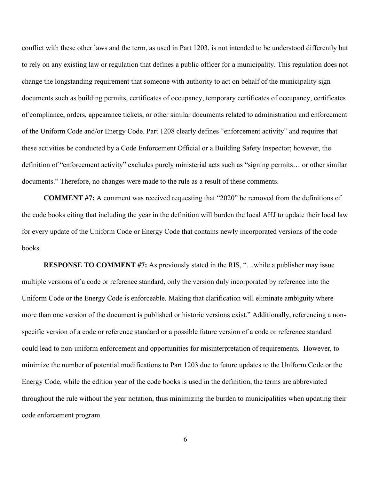conflict with these other laws and the term, as used in Part 1203, is not intended to be understood differently but to rely on any existing law or regulation that defines a public officer for a municipality. This regulation does not change the longstanding requirement that someone with authority to act on behalf of the municipality sign documents such as building permits, certificates of occupancy, temporary certificates of occupancy, certificates of compliance, orders, appearance tickets, or other similar documents related to administration and enforcement of the Uniform Code and/or Energy Code. Part 1208 clearly defines "enforcement activity" and requires that these activities be conducted by a Code Enforcement Official or a Building Safety Inspector; however, the definition of "enforcement activity" excludes purely ministerial acts such as "signing permits… or other similar documents." Therefore, no changes were made to the rule as a result of these comments.

**COMMENT #7:** A comment was received requesting that "2020" be removed from the definitions of the code books citing that including the year in the definition will burden the local AHJ to update their local law for every update of the Uniform Code or Energy Code that contains newly incorporated versions of the code books.

**RESPONSE TO COMMENT #7:** As previously stated in the RIS, "...while a publisher may issue multiple versions of a code or reference standard, only the version duly incorporated by reference into the Uniform Code or the Energy Code is enforceable. Making that clarification will eliminate ambiguity where more than one version of the document is published or historic versions exist." Additionally, referencing a nonspecific version of a code or reference standard or a possible future version of a code or reference standard could lead to non-uniform enforcement and opportunities for misinterpretation of requirements.However, to minimize the number of potential modifications to Part 1203 due to future updates to the Uniform Code or the Energy Code, while the edition year of the code books is used in the definition, the terms are abbreviated throughout the rule without the year notation, thus minimizing the burden to municipalities when updating their code enforcement program.

6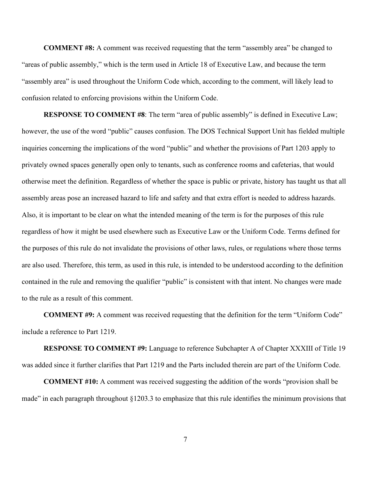**COMMENT #8:** A comment was received requesting that the term "assembly area" be changed to "areas of public assembly," which is the term used in Article 18 of Executive Law, and because the term "assembly area" is used throughout the Uniform Code which, according to the comment, will likely lead to confusion related to enforcing provisions within the Uniform Code.

**RESPONSE TO COMMENT #8**: The term "area of public assembly" is defined in Executive Law; however, the use of the word "public" causes confusion. The DOS Technical Support Unit has fielded multiple inquiries concerning the implications of the word "public" and whether the provisions of Part 1203 apply to privately owned spaces generally open only to tenants, such as conference rooms and cafeterias, that would otherwise meet the definition. Regardless of whether the space is public or private, history has taught us that all assembly areas pose an increased hazard to life and safety and that extra effort is needed to address hazards. Also, it is important to be clear on what the intended meaning of the term is for the purposes of this rule regardless of how it might be used elsewhere such as Executive Law or the Uniform Code. Terms defined for the purposes of this rule do not invalidate the provisions of other laws, rules, or regulations where those terms are also used. Therefore, this term, as used in this rule, is intended to be understood according to the definition contained in the rule and removing the qualifier "public" is consistent with that intent. No changes were made to the rule as a result of this comment.

**COMMENT #9:** A comment was received requesting that the definition for the term "Uniform Code" include a reference to Part 1219.

**RESPONSE TO COMMENT #9:** Language to reference Subchapter A of Chapter XXXIII of Title 19 was added since it further clarifies that Part 1219 and the Parts included therein are part of the Uniform Code.

**COMMENT #10:** A comment was received suggesting the addition of the words "provision shall be made" in each paragraph throughout §1203.3 to emphasize that this rule identifies the minimum provisions that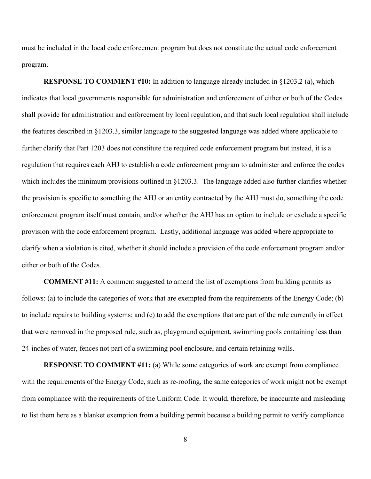must be included in the local code enforcement program but does not constitute the actual code enforcement program.

**RESPONSE TO COMMENT #10:** In addition to language already included in §1203.2 (a), which indicates that local governments responsible for administration and enforcement of either or both of the Codes shall provide for administration and enforcement by local regulation, and that such local regulation shall include the features described in §1203.3, similar language to the suggested language was added where applicable to further clarify that Part 1203 does not constitute the required code enforcement program but instead, it is a regulation that requires each AHJ to establish a code enforcement program to administer and enforce the codes which includes the minimum provisions outlined in §1203.3. The language added also further clarifies whether the provision is specific to something the AHJ or an entity contracted by the AHJ must do, something the code enforcement program itself must contain, and/or whether the AHJ has an option to include or exclude a specific provision with the code enforcement program. Lastly, additional language was added where appropriate to clarify when a violation is cited, whether it should include a provision of the code enforcement program and/or either or both of the Codes.

**COMMENT #11:** A comment suggested to amend the list of exemptions from building permits as follows: (a) to include the categories of work that are exempted from the requirements of the Energy Code; (b) to include repairs to building systems; and (c) to add the exemptions that are part of the rule currently in effect that were removed in the proposed rule, such as, playground equipment, swimming pools containing less than 24-inches of water, fences not part of a swimming pool enclosure, and certain retaining walls.

**RESPONSE TO COMMENT #11:** (a) While some categories of work are exempt from compliance with the requirements of the Energy Code, such as re-roofing, the same categories of work might not be exempt from compliance with the requirements of the Uniform Code. It would, therefore, be inaccurate and misleading to list them here as a blanket exemption from a building permit because a building permit to verify compliance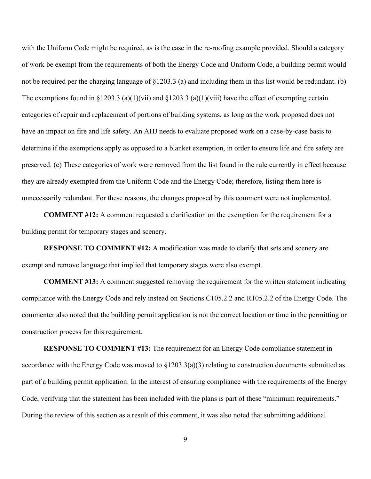with the Uniform Code might be required, as is the case in the re-roofing example provided. Should a category of work be exempt from the requirements of both the Energy Code and Uniform Code, a building permit would not be required per the charging language of §1203.3 (a) and including them in this list would be redundant. (b) The exemptions found in §1203.3 (a)(1)(vii) and §1203.3 (a)(1)(viii) have the effect of exempting certain categories of repair and replacement of portions of building systems, as long as the work proposed does not have an impact on fire and life safety. An AHJ needs to evaluate proposed work on a case-by-case basis to determine if the exemptions apply as opposed to a blanket exemption, in order to ensure life and fire safety are preserved. (c) These categories of work were removed from the list found in the rule currently in effect because they are already exempted from the Uniform Code and the Energy Code; therefore, listing them here is unnecessarily redundant. For these reasons, the changes proposed by this comment were not implemented.

**COMMENT #12:** A comment requested a clarification on the exemption for the requirement for a building permit for temporary stages and scenery.

**RESPONSE TO COMMENT #12:** A modification was made to clarify that sets and scenery are exempt and remove language that implied that temporary stages were also exempt.

**COMMENT #13:** A comment suggested removing the requirement for the written statement indicating compliance with the Energy Code and rely instead on Sections C105.2.2 and R105.2.2 of the Energy Code. The commenter also noted that the building permit application is not the correct location or time in the permitting or construction process for this requirement.

**RESPONSE TO COMMENT #13:** The requirement for an Energy Code compliance statement in accordance with the Energy Code was moved to  $\S 1203.3(a)(3)$  relating to construction documents submitted as part of a building permit application. In the interest of ensuring compliance with the requirements of the Energy Code, verifying that the statement has been included with the plans is part of these "minimum requirements." During the review of this section as a result of this comment, it was also noted that submitting additional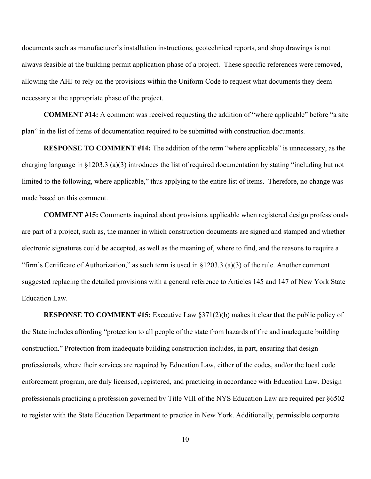documents such as manufacturer's installation instructions, geotechnical reports, and shop drawings is not always feasible at the building permit application phase of a project. These specific references were removed, allowing the AHJ to rely on the provisions within the Uniform Code to request what documents they deem necessary at the appropriate phase of the project.

**COMMENT #14:** A comment was received requesting the addition of "where applicable" before "a site plan" in the list of items of documentation required to be submitted with construction documents.

**RESPONSE TO COMMENT #14:** The addition of the term "where applicable" is unnecessary, as the charging language in §1203.3 (a)(3) introduces the list of required documentation by stating "including but not limited to the following, where applicable," thus applying to the entire list of items. Therefore, no change was made based on this comment.

**COMMENT #15:** Comments inquired about provisions applicable when registered design professionals are part of a project, such as, the manner in which construction documents are signed and stamped and whether electronic signatures could be accepted, as well as the meaning of, where to find, and the reasons to require a "firm's Certificate of Authorization," as such term is used in  $\S 1203.3$  (a)(3) of the rule. Another comment suggested replacing the detailed provisions with a general reference to Articles 145 and 147 of New York State Education Law.

**RESPONSE TO COMMENT #15:** Executive Law §371(2)(b) makes it clear that the public policy of the State includes affording "protection to all people of the state from hazards of fire and inadequate building construction." Protection from inadequate building construction includes, in part, ensuring that design professionals, where their services are required by Education Law, either of the codes, and/or the local code enforcement program, are duly licensed, registered, and practicing in accordance with Education Law. Design professionals practicing a profession governed by Title VIII of the NYS Education Law are required per §6502 to register with the State Education Department to practice in New York. Additionally, permissible corporate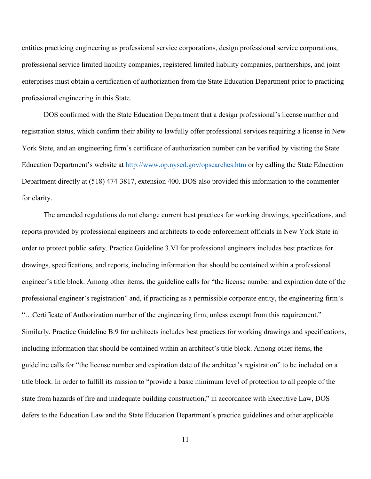entities practicing engineering as professional service corporations, design professional service corporations, professional service limited liability companies, registered limited liability companies, partnerships, and joint enterprises must obtain a certification of authorization from the State Education Department prior to practicing professional engineering in this State.

DOS confirmed with the State Education Department that a design professional's license number and registration status, which confirm their ability to lawfully offer professional services requiring a license in New York State, and an engineering firm's certificate of authorization number can be verified by visiting the State Education Department's website at <http://www.op.nysed.gov/opsearches.htm> or by calling the State Education Department directly at (518) 474-3817, extension 400. DOS also provided this information to the commenter for clarity.

The amended regulations do not change current best practices for working drawings, specifications, and reports provided by professional engineers and architects to code enforcement officials in New York State in order to protect public safety. Practice Guideline 3.VI for professional engineers includes best practices for drawings, specifications, and reports, including information that should be contained within a professional engineer's title block. Among other items, the guideline calls for "the license number and expiration date of the professional engineer's registration" and, if practicing as a permissible corporate entity, the engineering firm's "…Certificate of Authorization number of the engineering firm, unless exempt from this requirement." Similarly, Practice Guideline B.9 for architects includes best practices for working drawings and specifications, including information that should be contained within an architect's title block. Among other items, the guideline calls for "the license number and expiration date of the architect's registration" to be included on a title block. In order to fulfill its mission to "provide a basic minimum level of protection to all people of the state from hazards of fire and inadequate building construction," in accordance with Executive Law, DOS defers to the Education Law and the State Education Department's practice guidelines and other applicable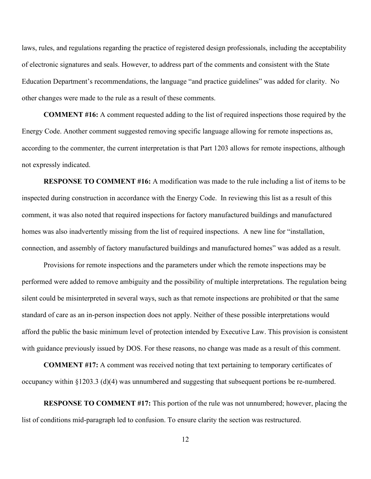laws, rules, and regulations regarding the practice of registered design professionals, including the acceptability of electronic signatures and seals. However, to address part of the comments and consistent with the State Education Department's recommendations, the language "and practice guidelines" was added for clarity. No other changes were made to the rule as a result of these comments.

**COMMENT #16:** A comment requested adding to the list of required inspections those required by the Energy Code. Another comment suggested removing specific language allowing for remote inspections as, according to the commenter, the current interpretation is that Part 1203 allows for remote inspections, although not expressly indicated.

**RESPONSE TO COMMENT #16:** A modification was made to the rule including a list of items to be inspected during construction in accordance with the Energy Code. In reviewing this list as a result of this comment, it was also noted that required inspections for factory manufactured buildings and manufactured homes was also inadvertently missing from the list of required inspections. A new line for "installation, connection, and assembly of factory manufactured buildings and manufactured homes" was added as a result.

Provisions for remote inspections and the parameters under which the remote inspections may be performed were added to remove ambiguity and the possibility of multiple interpretations. The regulation being silent could be misinterpreted in several ways, such as that remote inspections are prohibited or that the same standard of care as an in-person inspection does not apply. Neither of these possible interpretations would afford the public the basic minimum level of protection intended by Executive Law. This provision is consistent with guidance previously issued by DOS. For these reasons, no change was made as a result of this comment.

**COMMENT #17:** A comment was received noting that text pertaining to temporary certificates of occupancy within §1203.3 (d)(4) was unnumbered and suggesting that subsequent portions be re-numbered.

**RESPONSE TO COMMENT #17:** This portion of the rule was not unnumbered; however, placing the list of conditions mid-paragraph led to confusion. To ensure clarity the section was restructured.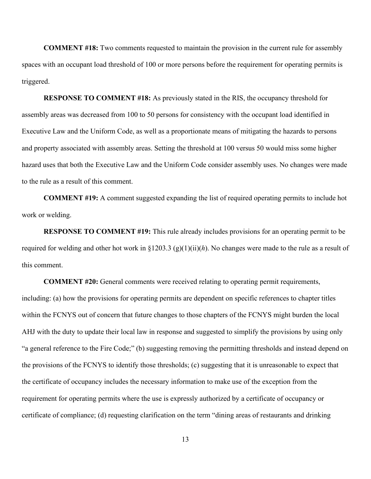**COMMENT #18:** Two comments requested to maintain the provision in the current rule for assembly spaces with an occupant load threshold of 100 or more persons before the requirement for operating permits is triggered.

**RESPONSE TO COMMENT #18:** As previously stated in the RIS, the occupancy threshold for assembly areas was decreased from 100 to 50 persons for consistency with the occupant load identified in Executive Law and the Uniform Code, as well as a proportionate means of mitigating the hazards to persons and property associated with assembly areas. Setting the threshold at 100 versus 50 would miss some higher hazard uses that both the Executive Law and the Uniform Code consider assembly uses. No changes were made to the rule as a result of this comment.

**COMMENT #19:** A comment suggested expanding the list of required operating permits to include hot work or welding.

**RESPONSE TO COMMENT #19:** This rule already includes provisions for an operating permit to be required for welding and other hot work in §1203.3 (g)(1)(ii)(*h*). No changes were made to the rule as a result of this comment.

**COMMENT #20:** General comments were received relating to operating permit requirements, including: (a) how the provisions for operating permits are dependent on specific references to chapter titles within the FCNYS out of concern that future changes to those chapters of the FCNYS might burden the local AHJ with the duty to update their local law in response and suggested to simplify the provisions by using only "a general reference to the Fire Code;" (b) suggesting removing the permitting thresholds and instead depend on the provisions of the FCNYS to identify those thresholds; (c) suggesting that it is unreasonable to expect that the certificate of occupancy includes the necessary information to make use of the exception from the requirement for operating permits where the use is expressly authorized by a certificate of occupancy or certificate of compliance; (d) requesting clarification on the term "dining areas of restaurants and drinking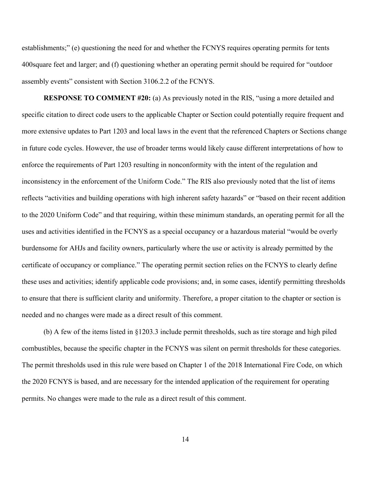establishments;" (e) questioning the need for and whether the FCNYS requires operating permits for tents 400square feet and larger; and (f) questioning whether an operating permit should be required for "outdoor assembly events" consistent with Section 3106.2.2 of the FCNYS.

**RESPONSE TO COMMENT #20:** (a) As previously noted in the RIS, "using a more detailed and specific citation to direct code users to the applicable Chapter or Section could potentially require frequent and more extensive updates to Part 1203 and local laws in the event that the referenced Chapters or Sections change in future code cycles. However, the use of broader terms would likely cause different interpretations of how to enforce the requirements of Part 1203 resulting in nonconformity with the intent of the regulation and inconsistency in the enforcement of the Uniform Code." The RIS also previously noted that the list of items reflects "activities and building operations with high inherent safety hazards" or "based on their recent addition to the 2020 Uniform Code" and that requiring, within these minimum standards, an operating permit for all the uses and activities identified in the FCNYS as a special occupancy or a hazardous material "would be overly burdensome for AHJs and facility owners, particularly where the use or activity is already permitted by the certificate of occupancy or compliance." The operating permit section relies on the FCNYS to clearly define these uses and activities; identify applicable code provisions; and, in some cases, identify permitting thresholds to ensure that there is sufficient clarity and uniformity. Therefore, a proper citation to the chapter or section is needed and no changes were made as a direct result of this comment.

(b) A few of the items listed in §1203.3 include permit thresholds, such as tire storage and high piled combustibles, because the specific chapter in the FCNYS was silent on permit thresholds for these categories. The permit thresholds used in this rule were based on Chapter 1 of the 2018 International Fire Code, on which the 2020 FCNYS is based, and are necessary for the intended application of the requirement for operating permits. No changes were made to the rule as a direct result of this comment.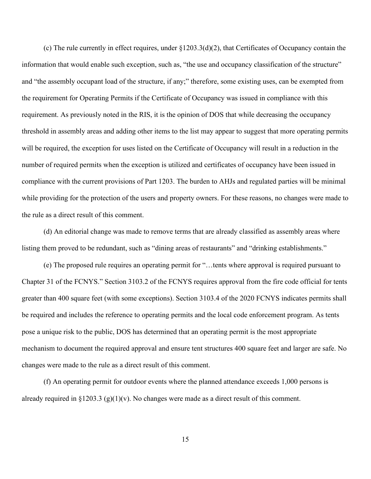(c) The rule currently in effect requires, under  $\{1203.3(d)(2)$ , that Certificates of Occupancy contain the information that would enable such exception, such as, "the use and occupancy classification of the structure" and "the assembly occupant load of the structure, if any;" therefore, some existing uses, can be exempted from the requirement for Operating Permits if the Certificate of Occupancy was issued in compliance with this requirement. As previously noted in the RIS, it is the opinion of DOS that while decreasing the occupancy threshold in assembly areas and adding other items to the list may appear to suggest that more operating permits will be required, the exception for uses listed on the Certificate of Occupancy will result in a reduction in the number of required permits when the exception is utilized and certificates of occupancy have been issued in compliance with the current provisions of Part 1203. The burden to AHJs and regulated parties will be minimal while providing for the protection of the users and property owners. For these reasons, no changes were made to the rule as a direct result of this comment.

(d) An editorial change was made to remove terms that are already classified as assembly areas where listing them proved to be redundant, such as "dining areas of restaurants" and "drinking establishments."

(e) The proposed rule requires an operating permit for "…tents where approval is required pursuant to Chapter 31 of the FCNYS." Section 3103.2 of the FCNYS requires approval from the fire code official for tents greater than 400 square feet (with some exceptions). Section 3103.4 of the 2020 FCNYS indicates permits shall be required and includes the reference to operating permits and the local code enforcement program. As tents pose a unique risk to the public, DOS has determined that an operating permit is the most appropriate mechanism to document the required approval and ensure tent structures 400 square feet and larger are safe. No changes were made to the rule as a direct result of this comment.

(f) An operating permit for outdoor events where the planned attendance exceeds 1,000 persons is already required in §1203.3 (g)(1)(v). No changes were made as a direct result of this comment.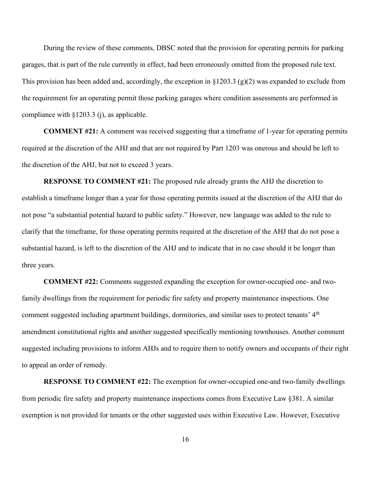During the review of these comments, DBSC noted that the provision for operating permits for parking garages, that is part of the rule currently in effect, had been erroneously omitted from the proposed rule text. This provision has been added and, accordingly, the exception in  $\S 1203.3$  (g)(2) was expanded to exclude from the requirement for an operating permit those parking garages where condition assessments are performed in compliance with §1203.3 (j), as applicable.

**COMMENT #21:** A comment was received suggesting that a timeframe of 1-year for operating permits required at the discretion of the AHJ and that are not required by Part 1203 was onerous and should be left to the discretion of the AHJ, but not to exceed 3 years.

**RESPONSE TO COMMENT #21:** The proposed rule already grants the AHJ the discretion to establish a timeframe longer than a year for those operating permits issued at the discretion of the AHJ that do not pose "a substantial potential hazard to public safety." However, new language was added to the rule to clarify that the timeframe, for those operating permits required at the discretion of the AHJ that do not pose a substantial hazard, is left to the discretion of the AHJ and to indicate that in no case should it be longer than three years.

**COMMENT #22:** Comments suggested expanding the exception for owner-occupied one- and twofamily dwellings from the requirement for periodic fire safety and property maintenance inspections. One comment suggested including apartment buildings, dormitories, and similar uses to protect tenants' 4<sup>th</sup> amendment constitutional rights and another suggested specifically mentioning townhouses. Another comment suggested including provisions to inform AHJs and to require them to notify owners and occupants of their right to appeal an order of remedy.

**RESPONSE TO COMMENT #22:** The exemption for owner-occupied one-and two-family dwellings from periodic fire safety and property maintenance inspections comes from Executive Law §381. A similar exemption is not provided for tenants or the other suggested uses within Executive Law. However, Executive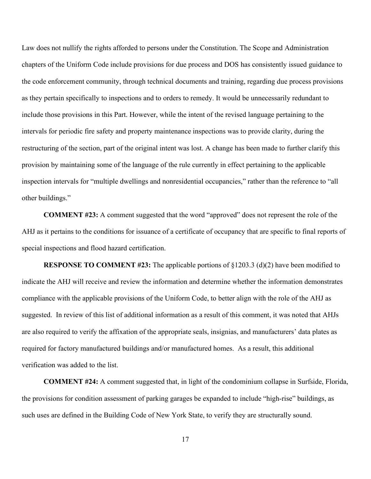Law does not nullify the rights afforded to persons under the Constitution. The Scope and Administration chapters of the Uniform Code include provisions for due process and DOS has consistently issued guidance to the code enforcement community, through technical documents and training, regarding due process provisions as they pertain specifically to inspections and to orders to remedy. It would be unnecessarily redundant to include those provisions in this Part. However, while the intent of the revised language pertaining to the intervals for periodic fire safety and property maintenance inspections was to provide clarity, during the restructuring of the section, part of the original intent was lost. A change has been made to further clarify this provision by maintaining some of the language of the rule currently in effect pertaining to the applicable inspection intervals for "multiple dwellings and nonresidential occupancies," rather than the reference to "all other buildings."

**COMMENT #23:** A comment suggested that the word "approved" does not represent the role of the AHJ as it pertains to the conditions for issuance of a certificate of occupancy that are specific to final reports of special inspections and flood hazard certification.

**RESPONSE TO COMMENT #23:** The applicable portions of §1203.3 (d)(2) have been modified to indicate the AHJ will receive and review the information and determine whether the information demonstrates compliance with the applicable provisions of the Uniform Code, to better align with the role of the AHJ as suggested. In review of this list of additional information as a result of this comment, it was noted that AHJs are also required to verify the affixation of the appropriate seals, insignias, and manufacturers' data plates as required for factory manufactured buildings and/or manufactured homes. As a result, this additional verification was added to the list.

**COMMENT #24:** A comment suggested that, in light of the condominium collapse in Surfside, Florida, the provisions for condition assessment of parking garages be expanded to include "high-rise" buildings, as such uses are defined in the Building Code of New York State, to verify they are structurally sound.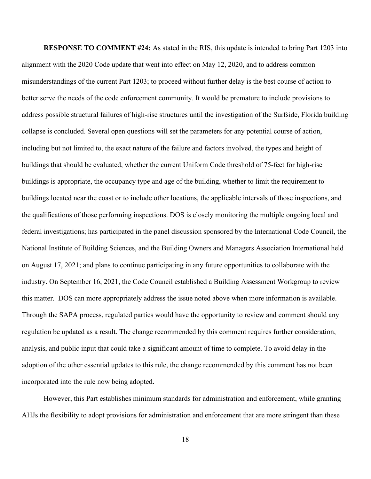**RESPONSE TO COMMENT #24:** As stated in the RIS, this update is intended to bring Part 1203 into alignment with the 2020 Code update that went into effect on May 12, 2020, and to address common misunderstandings of the current Part 1203; to proceed without further delay is the best course of action to better serve the needs of the code enforcement community. It would be premature to include provisions to address possible structural failures of high-rise structures until the investigation of the Surfside, Florida building collapse is concluded. Several open questions will set the parameters for any potential course of action, including but not limited to, the exact nature of the failure and factors involved, the types and height of buildings that should be evaluated, whether the current Uniform Code threshold of 75-feet for high-rise buildings is appropriate, the occupancy type and age of the building, whether to limit the requirement to buildings located near the coast or to include other locations, the applicable intervals of those inspections, and the qualifications of those performing inspections. DOS is closely monitoring the multiple ongoing local and federal investigations; has participated in the panel discussion sponsored by the International Code Council, the National Institute of Building Sciences, and the Building Owners and Managers Association International held on August 17, 2021; and plans to continue participating in any future opportunities to collaborate with the industry. On September 16, 2021, the Code Council established a Building Assessment Workgroup to review this matter. DOS can more appropriately address the issue noted above when more information is available. Through the SAPA process, regulated parties would have the opportunity to review and comment should any regulation be updated as a result. The change recommended by this comment requires further consideration, analysis, and public input that could take a significant amount of time to complete. To avoid delay in the adoption of the other essential updates to this rule, the change recommended by this comment has not been incorporated into the rule now being adopted.

However, this Part establishes minimum standards for administration and enforcement, while granting AHJs the flexibility to adopt provisions for administration and enforcement that are more stringent than these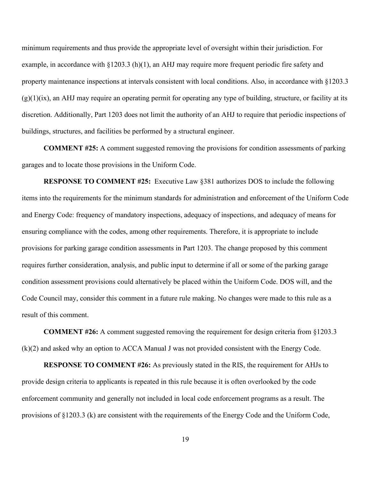minimum requirements and thus provide the appropriate level of oversight within their jurisdiction. For example, in accordance with  $\S 1203.3$  (h)(1), an AHJ may require more frequent periodic fire safety and property maintenance inspections at intervals consistent with local conditions. Also, in accordance with §1203.3  $(g)(1)(ix)$ , an AHJ may require an operating permit for operating any type of building, structure, or facility at its discretion. Additionally, Part 1203 does not limit the authority of an AHJ to require that periodic inspections of buildings, structures, and facilities be performed by a structural engineer.

**COMMENT #25:** A comment suggested removing the provisions for condition assessments of parking garages and to locate those provisions in the Uniform Code.

**RESPONSE TO COMMENT #25:** Executive Law §381 authorizes DOS to include the following items into the requirements for the minimum standards for administration and enforcement of the Uniform Code and Energy Code: frequency of mandatory inspections, adequacy of inspections, and adequacy of means for ensuring compliance with the codes, among other requirements. Therefore, it is appropriate to include provisions for parking garage condition assessments in Part 1203. The change proposed by this comment requires further consideration, analysis, and public input to determine if all or some of the parking garage condition assessment provisions could alternatively be placed within the Uniform Code. DOS will, and the Code Council may, consider this comment in a future rule making. No changes were made to this rule as a result of this comment.

**COMMENT #26:** A comment suggested removing the requirement for design criteria from §1203.3 (k)(2) and asked why an option to ACCA Manual J was not provided consistent with the Energy Code.

**RESPONSE TO COMMENT #26:** As previously stated in the RIS, the requirement for AHJs to provide design criteria to applicants is repeated in this rule because it is often overlooked by the code enforcement community and generally not included in local code enforcement programs as a result. The provisions of §1203.3 (k) are consistent with the requirements of the Energy Code and the Uniform Code,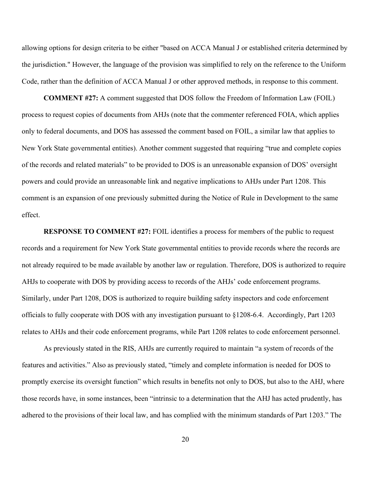allowing options for design criteria to be either "based on ACCA Manual J or established criteria determined by the jurisdiction." However, the language of the provision was simplified to rely on the reference to the Uniform Code, rather than the definition of ACCA Manual J or other approved methods, in response to this comment.

**COMMENT #27:** A comment suggested that DOS follow the Freedom of Information Law (FOIL) process to request copies of documents from AHJs (note that the commenter referenced FOIA, which applies only to federal documents, and DOS has assessed the comment based on FOIL, a similar law that applies to New York State governmental entities). Another comment suggested that requiring "true and complete copies of the records and related materials" to be provided to DOS is an unreasonable expansion of DOS' oversight powers and could provide an unreasonable link and negative implications to AHJs under Part 1208. This comment is an expansion of one previously submitted during the Notice of Rule in Development to the same effect.

**RESPONSE TO COMMENT #27:** FOIL identifies a process for members of the public to request records and a requirement for New York State governmental entities to provide records where the records are not already required to be made available by another law or regulation. Therefore, DOS is authorized to require AHJs to cooperate with DOS by providing access to records of the AHJs' code enforcement programs. Similarly, under Part 1208, DOS is authorized to require building safety inspectors and code enforcement officials to fully cooperate with DOS with any investigation pursuant to §1208-6.4. Accordingly, Part 1203 relates to AHJs and their code enforcement programs, while Part 1208 relates to code enforcement personnel.

As previously stated in the RIS, AHJs are currently required to maintain "a system of records of the features and activities." Also as previously stated, "timely and complete information is needed for DOS to promptly exercise its oversight function" which results in benefits not only to DOS, but also to the AHJ, where those records have, in some instances, been "intrinsic to a determination that the AHJ has acted prudently, has adhered to the provisions of their local law, and has complied with the minimum standards of Part 1203." The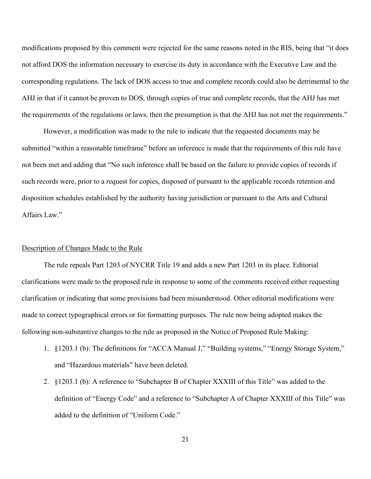modifications proposed by this comment were rejected for the same reasons noted in the RIS, being that "it does not afford DOS the information necessary to exercise its duty in accordance with the Executive Law and the corresponding regulations. The lack of DOS access to true and complete records could also be detrimental to the AHJ in that if it cannot be proven to DOS, through copies of true and complete records, that the AHJ has met the requirements of the regulations or laws, then the presumption is that the AHJ has not met the requirements."

However, a modification was made to the rule to indicate that the requested documents may be submitted "within a reasonable timeframe" before an inference is made that the requirements of this rule have not been met and adding that "No such inference shall be based on the failure to provide copies of records if such records were, prior to a request for copies, disposed of pursuant to the applicable records retention and disposition schedules established by the authority having jurisdiction or pursuant to the Arts and Cultural Affairs Law."

## Description of Changes Made to the Rule

The rule repeals Part 1203 of NYCRR Title 19 and adds a new Part 1203 in its place. Editorial clarifications were made to the proposed rule in response to some of the comments received either requesting clarification or indicating that some provisions had been misunderstood. Other editorial modifications were made to correct typographical errors or for formatting purposes. The rule now being adopted makes the following non-substantive changes to the rule as proposed in the Notice of Proposed Rule Making:

- 1. §1203.1 (b): The definitions for "ACCA Manual J," "Building systems," "Energy Storage System," and "Hazardous materials" have been deleted.
- 2. §1203.1 (b): A reference to "Subchapter B of Chapter XXXIII of this Title" was added to the definition of "Energy Code" and a reference to "Subchapter A of Chapter XXXIII of this Title" was added to the definition of "Uniform Code."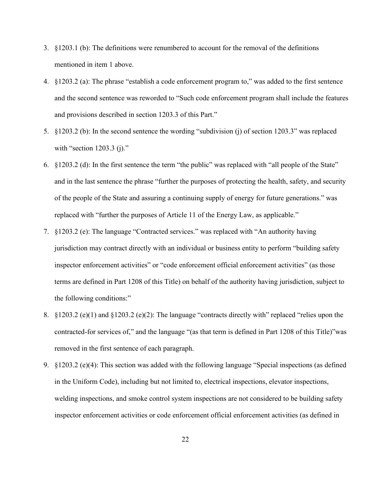- 3. §1203.1 (b): The definitions were renumbered to account for the removal of the definitions mentioned in item 1 above.
- 4. §1203.2 (a): The phrase "establish a code enforcement program to," was added to the first sentence and the second sentence was reworded to "Such code enforcement program shall include the features and provisions described in section 1203.3 of this Part."
- 5. §1203.2 (b): In the second sentence the wording "subdivision (j) of section 1203.3" was replaced with "section 1203.3 (j)."
- 6. §1203.2 (d): In the first sentence the term "the public" was replaced with "all people of the State" and in the last sentence the phrase "further the purposes of protecting the health, safety, and security of the people of the State and assuring a continuing supply of energy for future generations." was replaced with "further the purposes of Article 11 of the Energy Law, as applicable."
- 7. §1203.2 (e): The language "Contracted services." was replaced with "An authority having jurisdiction may contract directly with an individual or business entity to perform "building safety inspector enforcement activities" or "code enforcement official enforcement activities" (as those terms are defined in Part 1208 of this Title) on behalf of the authority having jurisdiction, subject to the following conditions:"
- 8. §1203.2 (e)(1) and §1203.2 (e)(2): The language "contracts directly with" replaced "relies upon the contracted-for services of," and the language "(as that term is defined in Part 1208 of this Title)"was removed in the first sentence of each paragraph.
- 9. §1203.2 (e)(4): This section was added with the following language "Special inspections (as defined in the Uniform Code), including but not limited to, electrical inspections, elevator inspections, welding inspections, and smoke control system inspections are not considered to be building safety inspector enforcement activities or code enforcement official enforcement activities (as defined in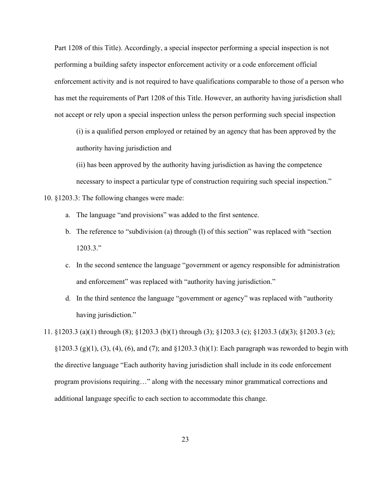Part 1208 of this Title). Accordingly, a special inspector performing a special inspection is not performing a building safety inspector enforcement activity or a code enforcement official enforcement activity and is not required to have qualifications comparable to those of a person who has met the requirements of Part 1208 of this Title. However, an authority having jurisdiction shall not accept or rely upon a special inspection unless the person performing such special inspection

(i) is a qualified person employed or retained by an agency that has been approved by the authority having jurisdiction and

(ii) has been approved by the authority having jurisdiction as having the competence necessary to inspect a particular type of construction requiring such special inspection."

10. §1203.3: The following changes were made:

- a. The language "and provisions" was added to the first sentence.
- b. The reference to "subdivision (a) through (l) of this section" was replaced with "section 1203.3."
- c. In the second sentence the language "government or agency responsible for administration and enforcement" was replaced with "authority having jurisdiction."
- d. In the third sentence the language "government or agency" was replaced with "authority having jurisdiction."
- 11. §1203.3 (a)(1) through (8); §1203.3 (b)(1) through (3); §1203.3 (c); §1203.3 (d)(3); §1203.3 (e);  $\S 1203.3$  (g)(1), (3), (4), (6), and (7); and  $\S 1203.3$  (h)(1): Each paragraph was reworded to begin with the directive language "Each authority having jurisdiction shall include in its code enforcement program provisions requiring…" along with the necessary minor grammatical corrections and additional language specific to each section to accommodate this change.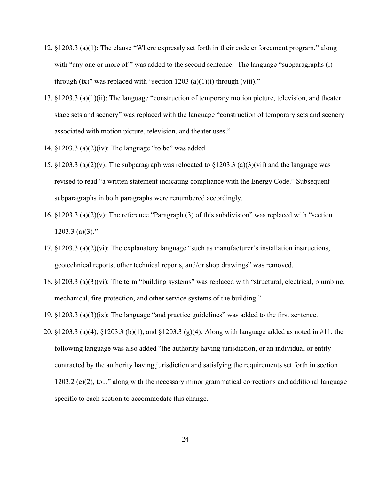- 12. §1203.3 (a)(1): The clause "Where expressly set forth in their code enforcement program," along with "any one or more of" was added to the second sentence. The language "subparagraphs (i) through (ix)" was replaced with "section 1203 (a)(1)(i) through (viii)."
- 13. §1203.3 (a)(1)(ii): The language "construction of temporary motion picture, television, and theater stage sets and scenery" was replaced with the language "construction of temporary sets and scenery associated with motion picture, television, and theater uses."
- 14. §1203.3 (a)(2)(iv): The language "to be" was added.
- 15. §1203.3 (a)(2)(v): The subparagraph was relocated to §1203.3 (a)(3)(vii) and the language was revised to read "a written statement indicating compliance with the Energy Code." Subsequent subparagraphs in both paragraphs were renumbered accordingly.
- 16. §1203.3 (a)(2)(v): The reference "Paragraph (3) of this subdivision" was replaced with "section  $1203.3$  (a)(3)."
- 17. §1203.3 (a)(2)(vi): The explanatory language "such as manufacturer's installation instructions, geotechnical reports, other technical reports, and/or shop drawings" was removed.
- 18. §1203.3 (a)(3)(vi): The term "building systems" was replaced with "structural, electrical, plumbing, mechanical, fire-protection, and other service systems of the building."
- 19. §1203.3 (a)(3)(ix): The language "and practice guidelines" was added to the first sentence.
- 20. §1203.3 (a)(4), §1203.3 (b)(1), and §1203.3 (g)(4): Along with language added as noted in #11, the following language was also added "the authority having jurisdiction, or an individual or entity contracted by the authority having jurisdiction and satisfying the requirements set forth in section 1203.2 (e)(2), to..." along with the necessary minor grammatical corrections and additional language specific to each section to accommodate this change.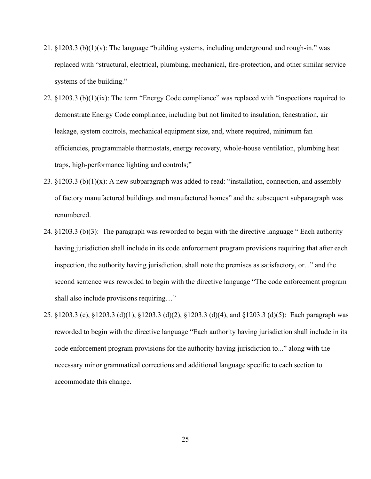- 21. §1203.3 (b)(1)(v): The language "building systems, including underground and rough-in." was replaced with "structural, electrical, plumbing, mechanical, fire-protection, and other similar service systems of the building."
- 22. §1203.3 (b)(1)(ix): The term "Energy Code compliance" was replaced with "inspections required to demonstrate Energy Code compliance, including but not limited to insulation, fenestration, air leakage, system controls, mechanical equipment size, and, where required, minimum fan efficiencies, programmable thermostats, energy recovery, whole-house ventilation, plumbing heat traps, high-performance lighting and controls;"
- 23. §1203.3 (b) $(1)(x)$ : A new subparagraph was added to read: "installation, connection, and assembly of factory manufactured buildings and manufactured homes" and the subsequent subparagraph was renumbered.
- 24. §1203.3 (b)(3): The paragraph was reworded to begin with the directive language " Each authority having jurisdiction shall include in its code enforcement program provisions requiring that after each inspection, the authority having jurisdiction, shall note the premises as satisfactory, or..." and the second sentence was reworded to begin with the directive language "The code enforcement program shall also include provisions requiring…"
- 25. §1203.3 (c), §1203.3 (d)(1), §1203.3 (d)(2), §1203.3 (d)(4), and §1203.3 (d)(5): Each paragraph was reworded to begin with the directive language "Each authority having jurisdiction shall include in its code enforcement program provisions for the authority having jurisdiction to..." along with the necessary minor grammatical corrections and additional language specific to each section to accommodate this change.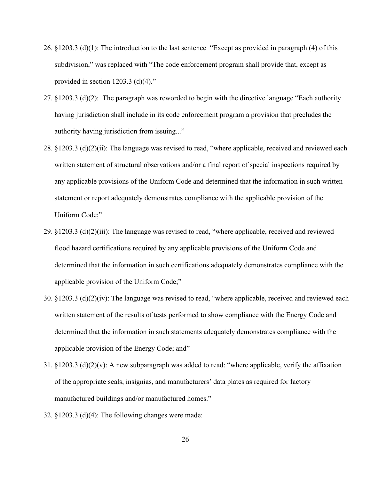- 26. §1203.3 (d)(1): The introduction to the last sentence "Except as provided in paragraph (4) of this subdivision," was replaced with "The code enforcement program shall provide that, except as provided in section 1203.3 (d)(4)."
- 27. §1203.3 (d)(2): The paragraph was reworded to begin with the directive language "Each authority having jurisdiction shall include in its code enforcement program a provision that precludes the authority having jurisdiction from issuing..."
- 28. §1203.3 (d)(2)(ii): The language was revised to read, "where applicable, received and reviewed each written statement of structural observations and/or a final report of special inspections required by any applicable provisions of the Uniform Code and determined that the information in such written statement or report adequately demonstrates compliance with the applicable provision of the Uniform Code;"
- 29. §1203.3 (d)(2)(iii): The language was revised to read, "where applicable, received and reviewed flood hazard certifications required by any applicable provisions of the Uniform Code and determined that the information in such certifications adequately demonstrates compliance with the applicable provision of the Uniform Code;"
- 30. §1203.3 (d)(2)(iv): The language was revised to read, "where applicable, received and reviewed each written statement of the results of tests performed to show compliance with the Energy Code and determined that the information in such statements adequately demonstrates compliance with the applicable provision of the Energy Code; and"
- 31. §1203.3 (d)(2)(v): A new subparagraph was added to read: "where applicable, verify the affixation of the appropriate seals, insignias, and manufacturers' data plates as required for factory manufactured buildings and/or manufactured homes."
- 32. §1203.3 (d)(4): The following changes were made: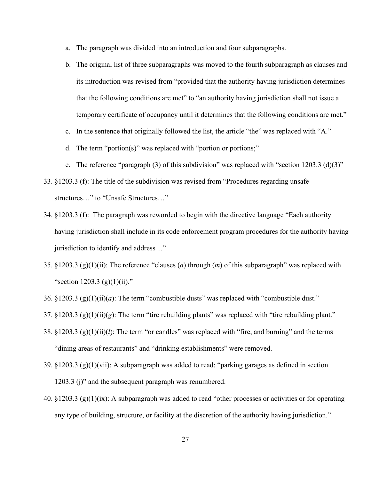- a. The paragraph was divided into an introduction and four subparagraphs.
- b. The original list of three subparagraphs was moved to the fourth subparagraph as clauses and its introduction was revised from "provided that the authority having jurisdiction determines that the following conditions are met" to "an authority having jurisdiction shall not issue a temporary certificate of occupancy until it determines that the following conditions are met."
- c. In the sentence that originally followed the list, the article "the" was replaced with "A."
- d. The term "portion(s)" was replaced with "portion or portions;"
- e. The reference "paragraph (3) of this subdivision" was replaced with "section 1203.3 (d)(3)"
- 33. §1203.3 (f): The title of the subdivision was revised from "Procedures regarding unsafe structures…" to "Unsafe Structures…"
- 34. §1203.3 (f): The paragraph was reworded to begin with the directive language "Each authority having jurisdiction shall include in its code enforcement program procedures for the authority having jurisdiction to identify and address ..."
- 35. §1203.3 (g)(1)(ii): The reference "clauses (*a*) through (*m*) of this subparagraph" was replaced with "section 1203.3 (g)(1)(ii)."
- 36. §1203.3 (g)(1)(ii)(*a*): The term "combustible dusts" was replaced with "combustible dust."
- 37. §1203.3 (g)(1)(ii)(*g*): The term "tire rebuilding plants" was replaced with "tire rebuilding plant."
- 38. §1203.3 (g)(1)(ii)(*l*): The term "or candles" was replaced with "fire, and burning" and the terms "dining areas of restaurants" and "drinking establishments" were removed.
- 39. §1203.3 (g)(1)(vii): A subparagraph was added to read: "parking garages as defined in section 1203.3 (j)" and the subsequent paragraph was renumbered.
- 40. §1203.3 (g)(1)(ix): A subparagraph was added to read "other processes or activities or for operating any type of building, structure, or facility at the discretion of the authority having jurisdiction."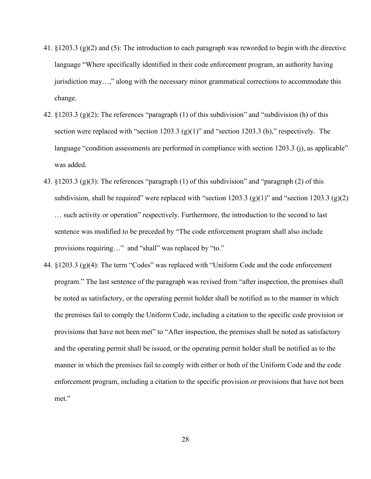- 41. §1203.3 (g)(2) and (5): The introduction to each paragraph was reworded to begin with the directive language "Where specifically identified in their code enforcement program, an authority having jurisdiction may…," along with the necessary minor grammatical corrections to accommodate this change.
- 42. §1203.3 (g)(2): The references "paragraph (1) of this subdivision" and "subdivision (h) of this section were replaced with "section 1203.3  $(g)(1)$ " and "section 1203.3 (h)," respectively. The language "condition assessments are performed in compliance with section 1203.3 (j), as applicable" was added.
- 43. §1203.3 (g)(3): The references "paragraph (1) of this subdivision" and "paragraph (2) of this subdivision, shall be required" were replaced with "section 1203.3 (g)(1)" and "section 1203.3 (g)(2) … such activity or operation" respectively. Furthermore, the introduction to the second to last sentence was modified to be preceded by "The code enforcement program shall also include provisions requiring…" and "shall" was replaced by "to."
- 44. §1203.3 (g)(4): The term "Codes" was replaced with "Uniform Code and the code enforcement program." The last sentence of the paragraph was revised from "after inspection, the premises shall be noted as satisfactory, or the operating permit holder shall be notified as to the manner in which the premises fail to comply the Uniform Code, including a citation to the specific code provision or provisions that have not been met" to "After inspection, the premises shall be noted as satisfactory and the operating permit shall be issued, or the operating permit holder shall be notified as to the manner in which the premises fail to comply with either or both of the Uniform Code and the code enforcement program, including a citation to the specific provision or provisions that have not been met."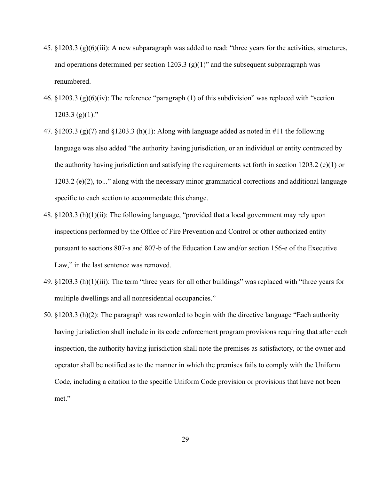- 45. §1203.3 (g)(6)(iii): A new subparagraph was added to read: "three years for the activities, structures, and operations determined per section 1203.3 (g)(1)" and the subsequent subparagraph was renumbered.
- 46.  $\frac{1203.3}{(g)(6)(iv)}$ : The reference "paragraph (1) of this subdivision" was replaced with "section"  $1203.3$  (g)(1)."
- 47.  $\S 1203.3$  (g)(7) and  $\S 1203.3$  (h)(1): Along with language added as noted in #11 the following language was also added "the authority having jurisdiction, or an individual or entity contracted by the authority having jurisdiction and satisfying the requirements set forth in section 1203.2 (e)(1) or 1203.2 (e)(2), to..." along with the necessary minor grammatical corrections and additional language specific to each section to accommodate this change.
- 48. §1203.3 (h)(1)(ii): The following language, "provided that a local government may rely upon inspections performed by the Office of Fire Prevention and Control or other authorized entity pursuant to sections 807-a and 807-b of the Education Law and/or section 156-e of the Executive Law," in the last sentence was removed.
- 49. §1203.3 (h)(1)(iii): The term "three years for all other buildings" was replaced with "three years for multiple dwellings and all nonresidential occupancies."
- 50. §1203.3 (h)(2): The paragraph was reworded to begin with the directive language "Each authority having jurisdiction shall include in its code enforcement program provisions requiring that after each inspection, the authority having jurisdiction shall note the premises as satisfactory, or the owner and operator shall be notified as to the manner in which the premises fails to comply with the Uniform Code, including a citation to the specific Uniform Code provision or provisions that have not been met."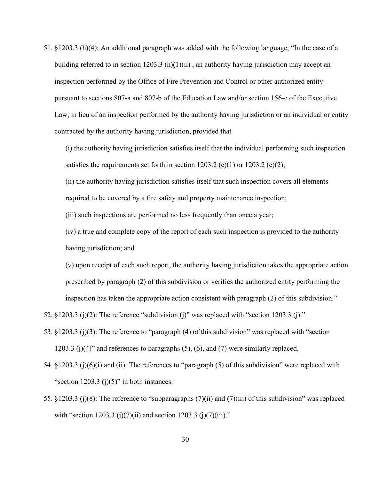51. §1203.3 (h)(4): An additional paragraph was added with the following language, "In the case of a building referred to in section  $1203.3$  (h)(1)(ii), an authority having jurisdiction may accept an inspection performed by the Office of Fire Prevention and Control or other authorized entity pursuant to sections 807-a and 807-b of the Education Law and/or section 156-e of the Executive Law, in lieu of an inspection performed by the authority having jurisdiction or an individual or entity contracted by the authority having jurisdiction, provided that

(i) the authority having jurisdiction satisfies itself that the individual performing such inspection satisfies the requirements set forth in section  $1203.2$  (e)(1) or  $1203.2$  (e)(2);

(ii) the authority having jurisdiction satisfies itself that such inspection covers all elements required to be covered by a fire safety and property maintenance inspection;

(iii) such inspections are performed no less frequently than once a year;

(iv) a true and complete copy of the report of each such inspection is provided to the authority having jurisdiction; and

(v) upon receipt of each such report, the authority having jurisdiction takes the appropriate action prescribed by paragraph (2) of this subdivision or verifies the authorized entity performing the inspection has taken the appropriate action consistent with paragraph (2) of this subdivision."

52.  $\S 1203.3$  (j)(2): The reference "subdivision (j)" was replaced with "section 1203.3 (j)."

- 53. §1203.3 (j)(3): The reference to "paragraph (4) of this subdivision" was replaced with "section 1203.3 (j)(4)" and references to paragraphs (5), (6), and (7) were similarly replaced.
- 54. §1203.3 (j)(6)(i) and (ii): The references to "paragraph (5) of this subdivision" were replaced with "section  $1203.3$  (j)(5)" in both instances.
- 55. §1203.3 (j)(8): The reference to "subparagraphs (7)(ii) and (7)(iii) of this subdivision" was replaced with "section 1203.3 (j)(7)(ii) and section 1203.3 (j)(7)(iii)."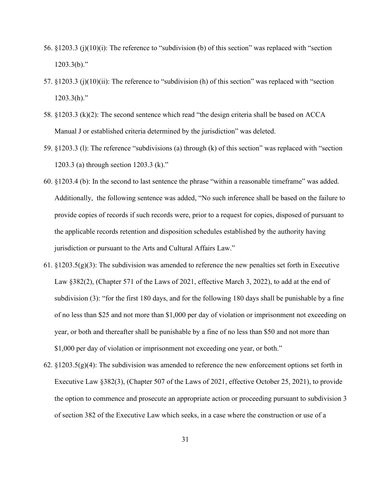- 56. §1203.3 (j)(10)(i): The reference to "subdivision (b) of this section" was replaced with "section  $1203.3(b)$ ."
- 57. §1203.3 (j)(10)(ii): The reference to "subdivision (h) of this section" was replaced with "section  $1203.3(h)$ ."
- 58. §1203.3 (k)(2): The second sentence which read "the design criteria shall be based on ACCA Manual J or established criteria determined by the jurisdiction" was deleted.
- 59. §1203.3 (l): The reference "subdivisions (a) through (k) of this section" was replaced with "section 1203.3 (a) through section 1203.3 (k)."
- 60. §1203.4 (b): In the second to last sentence the phrase "within a reasonable timeframe" was added. Additionally, the following sentence was added, "No such inference shall be based on the failure to provide copies of records if such records were, prior to a request for copies, disposed of pursuant to the applicable records retention and disposition schedules established by the authority having jurisdiction or pursuant to the Arts and Cultural Affairs Law."
- 61.  $\S1203.5(g)(3)$ : The subdivision was amended to reference the new penalties set forth in Executive Law §382(2), (Chapter 571 of the Laws of 2021, effective March 3, 2022), to add at the end of subdivision (3): "for the first 180 days, and for the following 180 days shall be punishable by a fine of no less than \$25 and not more than \$1,000 per day of violation or imprisonment not exceeding on year, or both and thereafter shall be punishable by a fine of no less than \$50 and not more than \$1,000 per day of violation or imprisonment not exceeding one year, or both."
- 62.  $\S1203.5(g)(4)$ : The subdivision was amended to reference the new enforcement options set forth in Executive Law §382(3), (Chapter 507 of the Laws of 2021, effective October 25, 2021), to provide the option to commence and prosecute an appropriate action or proceeding pursuant to subdivision 3 of section 382 of the Executive Law which seeks, in a case where the construction or use of a